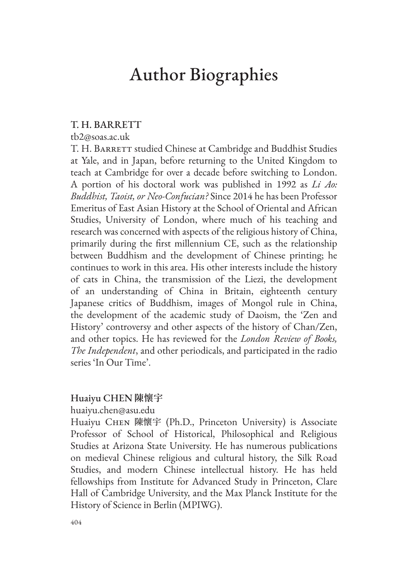# Author Biographies

## T. H. BARRETT

#### tb2@soas.ac.uk

T. H. BARRETT studied Chinese at Cambridge and Buddhist Studies at Yale, and in Japan, before returning to the United Kingdom to teach at Cambridge for over a decade before switching to London. A portion of his doctoral work was published in 1992 as *Li Ao: Buddhist, Taoist, or Neo-Confucian?* Since 2014 he has been Professor Emeritus of East Asian History at the School of Oriental and African Studies, University of London, where much of his teaching and research was concerned with aspects of the religious history of China, primarily during the first millennium CE, such as the relationship between Buddhism and the development of Chinese printing; he continues to work in this area. His other interests include the history of cats in China, the transmission of the Liezi, the development of an understanding of China in Britain, eighteenth century Japanese critics of Buddhism, images of Mongol rule in China, the development of the academic study of Daoism, the 'Zen and History' controversy and other aspects of the history of Chan/Zen, and other topics. He has reviewed for the *London Review of Books, The Independent*, and other periodicals, and participated in the radio series 'In Our Time'.

#### Huaiyu CHEN **陳懷宇**

huaiyu.chen@asu.edu

Huaiyu Chen 陳懷宇 (Ph.D., Princeton University) is Associate Professor of School of Historical, Philosophical and Religious Studies at Arizona State University. He has numerous publications on medieval Chinese religious and cultural history, the Silk Road Studies, and modern Chinese intellectual history. He has held fellowships from Institute for Advanced Study in Princeton, Clare Hall of Cambridge University, and the Max Planck Institute for the History of Science in Berlin (MPIWG).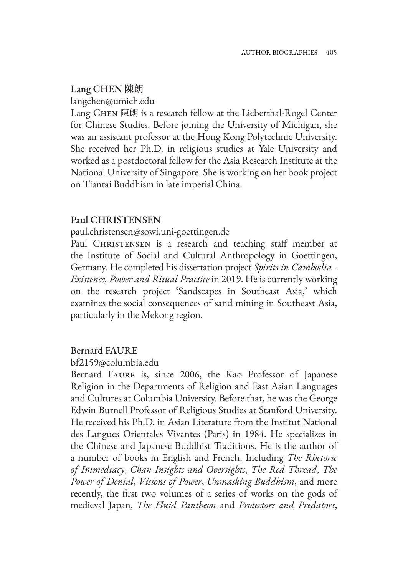## Lang CHEN **陳朗**

langchen@umich.edu

Lang CHEN 陳朗 is a research fellow at the Lieberthal-Rogel Center for Chinese Studies. Before joining the University of Michigan, she was an assistant professor at the Hong Kong Polytechnic University. She received her Ph.D. in religious studies at Yale University and worked as a postdoctoral fellow for the Asia Research Institute at the National University of Singapore. She is working on her book project on Tiantai Buddhism in late imperial China.

# Paul CHRISTENSEN

paul.christensen@sowi.uni-goettingen.de

Paul CHRISTENSEN is a research and teaching staff member at the Institute of Social and Cultural Anthropology in Goettingen, Germany. He completed his dissertation project *Spirits in Cambodia - Existence, Power and Ritual Practice* in 2019. He is currently working on the research project 'Sandscapes in Southeast Asia,' which examines the social consequences of sand mining in Southeast Asia, particularly in the Mekong region.

#### Bernard FAURE

#### bf2159@columbia.edu

Bernard FAURE is, since 2006, the Kao Professor of Japanese Religion in the Departments of Religion and East Asian Languages and Cultures at Columbia University. Before that, he was the George Edwin Burnell Professor of Religious Studies at Stanford University. He received his Ph.D. in Asian Literature from the Institut National des Langues Orientales Vivantes (Paris) in 1984. He specializes in the Chinese and Japanese Buddhist Traditions. He is the author of a number of books in English and French, Including *The Rhetoric of Immediacy*, *Chan Insights and Oversights*, *The Red Thread*, *The Power of Denial*, *Visions of Power*, *Unmasking Buddhism*, and more recently, the first two volumes of a series of works on the gods of medieval Japan, *The Fluid Pantheon* and *Protectors and Predators*,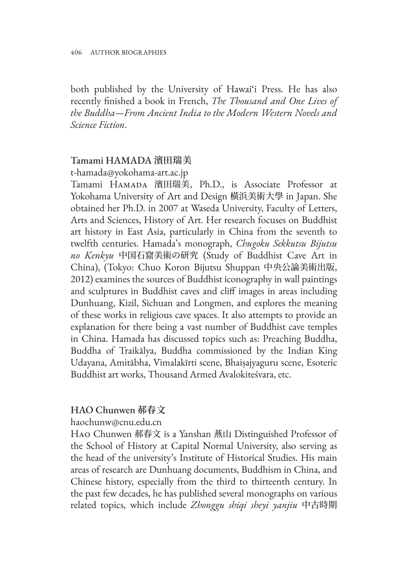both published by the University of Hawai'i Press. He has also recently finished a book in French, *The Thousand and One Lives of the Buddha—From Ancient India to the Modern Western Novels and Science Fiction*.

# Tamami HAMADA **濱田瑞美**

t-hamada@yokohama-art.ac.jp

Tamami Hamada 濱田瑞美, Ph.D., is Associate Professor at Yokohama University of Art and Design 橫浜美術大學 in Japan. She obtained her Ph.D. in 2007 at Waseda University, Faculty of Letters, Arts and Sciences, History of Art. Her research focuses on Buddhist art history in East Asia, particularly in China from the seventh to twelfth centuries. Hamada's monograph, *Chugoku Sekkutsu Bijutsu no Kenkyu* 中国石窟美術の研究 (Study of Buddhist Cave Art in China), (Tokyo: Chuo Koron Bijutsu Shuppan 中央公論美術出版, 2012) examines the sources of Buddhist iconography in wall paintings and sculptures in Buddhist caves and cliff images in areas including Dunhuang, Kizil, Sichuan and Longmen, and explores the meaning of these works in religious cave spaces. It also attempts to provide an explanation for there being a vast number of Buddhist cave temples in China. Hamada has discussed topics such as: Preaching Buddha, Buddha of Traikālya, Buddha commissioned by the Indian King Udayana, Amitābha, Vimalakīrti scene, Bhaiṣajyaguru scene, Esoteric Buddhist art works, Thousand Armed Avalokiteśvara, etc.

# HAO Chunwen **郝春文**

haochunw@cnu.edu.cn

Hao Chunwen 郝春文 is a Yanshan 燕山 Distinguished Professor of the School of History at Capital Normal University, also serving as the head of the university's Institute of Historical Studies. His main areas of research are Dunhuang documents, Buddhism in China, and Chinese history, especially from the third to thirteenth century. In the past few decades, he has published several monographs on various related topics, which include *Zhonggu shiqi sheyi yanjiu* 中古時期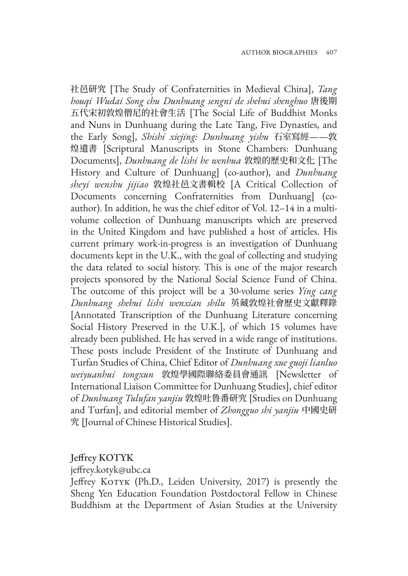社邑研究 [The Study of Confraternities in Medieval China], *Tang houqi Wudai Song chu Dunhuang sengni de shehui shenghuo* 唐後期 五代宋初敦煌僧尼的社會生活 [The Social Life of Buddhist Monks and Nuns in Dunhuang during the Late Tang, Five Dynasties, and the Early Song], *Shishi xiejing: Dunhuang yishu* 石室寫經——敦 煌遺書 [Scriptural Manuscripts in Stone Chambers: Dunhuang Documents], *Dunhuang de lishi he wenhua* 敦煌的歷史和文化 [The History and Culture of Dunhuang] (co-author), and *Dunhuang sheyi wenshu jijiao* 敦煌社邑文書輯校 [A Critical Collection of Documents concerning Confraternities from Dunhuang] (coauthor). In addition, he was the chief editor of Vol. 12–14 in a multivolume collection of Dunhuang manuscripts which are preserved in the United Kingdom and have published a host of articles. His current primary work-in-progress is an investigation of Dunhuang documents kept in the U.K., with the goal of collecting and studying the data related to social history. This is one of the major research projects sponsored by the National Social Science Fund of China. The outcome of this project will be a 30-volume series *Ying cang Dunhuang shehui lishi wenxian shilu* 英藏敦煌社會歷史文獻釋錄 [Annotated Transcription of the Dunhuang Literature concerning Social History Preserved in the U.K.], of which 15 volumes have already been published. He has served in a wide range of institutions. These posts include President of the Institute of Dunhuang and Turfan Studies of China, Chief Editor of *Dunhuang xue guoji lianluo weiyuanhui tongxun* 敦煌學國際聯絡委員會通訊 [Newsletter of International Liaison Committee for Dunhuang Studies], chief editor of *Dunhuang Tulufan yanjiu* 敦煌吐鲁番研究 [Studies on Dunhuang and Turfan], and editorial member of *Zhongguo shi yanjiu* 中國史研 究 [Journal of Chinese Historical Studies].

## Jeffrey KOTYK

jeffrey.kotyk@ubc.ca

Jeffrey KOTYK (Ph.D., Leiden University, 2017) is presently the Sheng Yen Education Foundation Postdoctoral Fellow in Chinese Buddhism at the Department of Asian Studies at the University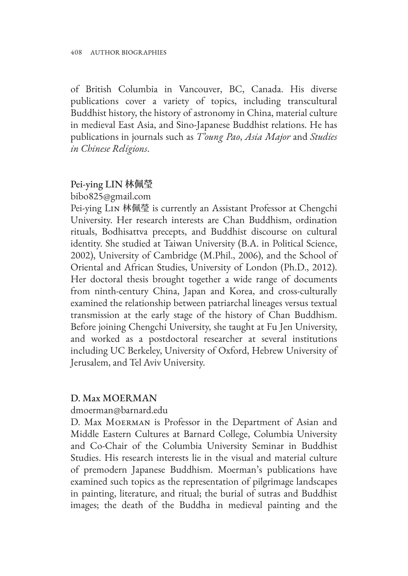of British Columbia in Vancouver, BC, Canada. His diverse publications cover a variety of topics, including transcultural Buddhist history, the history of astronomy in China, material culture in medieval East Asia, and Sino-Japanese Buddhist relations. He has publications in journals such as *T'oung Pao*, *Asia Major* and *Studies in Chinese Religions*.

# Pei-ying LIN **林佩瑩**

bibo825@gmail.com

Pei-ying Lin 林佩瑩 is currently an Assistant Professor at Chengchi University. Her research interests are Chan Buddhism, ordination rituals, Bodhisattva precepts, and Buddhist discourse on cultural identity. She studied at Taiwan University (B.A. in Political Science, 2002), University of Cambridge (M.Phil., 2006), and the School of Oriental and African Studies, University of London (Ph.D., 2012). Her doctoral thesis brought together a wide range of documents from ninth-century China, Japan and Korea, and cross-culturally examined the relationship between patriarchal lineages versus textual transmission at the early stage of the history of Chan Buddhism. Before joining Chengchi University, she taught at Fu Jen University, and worked as a postdoctoral researcher at several institutions including UC Berkeley, University of Oxford, Hebrew University of Jerusalem, and Tel Aviv University.

# D. Max MOERMAN

dmoerman@barnard.edu

D. Max Moerman is Professor in the Department of Asian and Middle Eastern Cultures at Barnard College, Columbia University and Co-Chair of the Columbia University Seminar in Buddhist Studies. His research interests lie in the visual and material culture of premodern Japanese Buddhism. Moerman's publications have examined such topics as the representation of pilgrimage landscapes in painting, literature, and ritual; the burial of sutras and Buddhist images; the death of the Buddha in medieval painting and the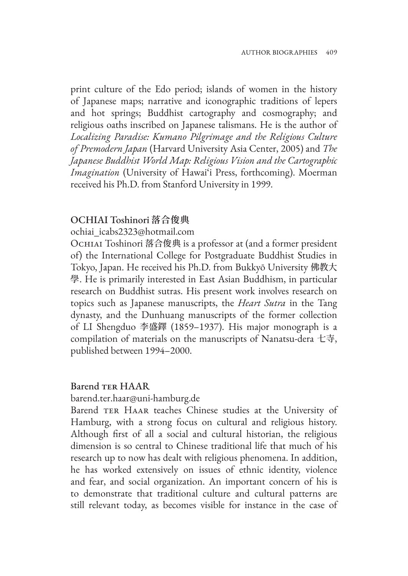print culture of the Edo period; islands of women in the history of Japanese maps; narrative and iconographic traditions of lepers and hot springs; Buddhist cartography and cosmography; and religious oaths inscribed on Japanese talismans. He is the author of *Localizing Paradise: Kumano Pilgrimage and the Religious Culture of Premodern Japan* (Harvard University Asia Center, 2005) and *The Japanese Buddhist World Map: Religious Vision and the Cartographic Imagination* (University of Hawai'i Press, forthcoming). Moerman received his Ph.D. from Stanford University in 1999.

#### OCHIAI Toshinori **落合俊典**

ochiai\_icabs2323@hotmail.com

OCHIAI Toshinori 落合俊典 is a professor at (and a former president of) the International College for Postgraduate Buddhist Studies in Tokyo, Japan. He received his Ph.D. from Bukkyō University 佛教大 學. He is primarily interested in East Asian Buddhism, in particular research on Buddhist sutras. His present work involves research on topics such as Japanese manuscripts, the *Heart Sutra* in the Tang dynasty, and the Dunhuang manuscripts of the former collection of LI Shengduo 李盛鐸 (1859–1937). His major monograph is a compilation of materials on the manuscripts of Nanatsu-dera 七寺, published between 1994–2000.

#### Barend TER HAAR

barend.ter.haar@uni-hamburg.de

Barend TER HAAR teaches Chinese studies at the University of Hamburg, with a strong focus on cultural and religious history. Although first of all a social and cultural historian, the religious dimension is so central to Chinese traditional life that much of his research up to now has dealt with religious phenomena. In addition, he has worked extensively on issues of ethnic identity, violence and fear, and social organization. An important concern of his is to demonstrate that traditional culture and cultural patterns are still relevant today, as becomes visible for instance in the case of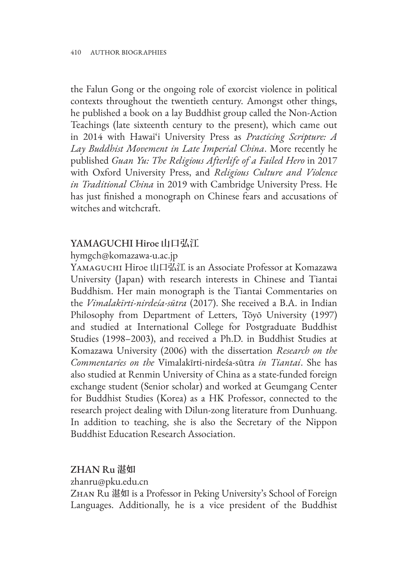the Falun Gong or the ongoing role of exorcist violence in political contexts throughout the twentieth century. Amongst other things, he published a book on a lay Buddhist group called the Non-Action Teachings (late sixteenth century to the present), which came out in 2014 with Hawai'i University Press as *Practicing Scripture: A Lay Buddhist Movement in Late Imperial China*. More recently he published *Guan Yu: The Religious Afterlife of a Failed Hero* in 2017 with Oxford University Press, and *Religious Culture and Violence in Traditional China* in 2019 with Cambridge University Press. He has just finished a monograph on Chinese fears and accusations of witches and witchcraft.

# YAMAGUCHI Hiroe **山口弘江**

# hymgch@komazawa-u.ac.jp

Yamaguchi Hiroe 山口弘江 is an Associate Professor at Komazawa University (Japan) with research interests in Chinese and Tiantai Buddhism. Her main monograph is the Tiantai Commentaries on the *Vimalakīrti-nirdeśa-sūtra* (2017). She received a B.A. in Indian Philosophy from Department of Letters, Tōyō University (1997) and studied at International College for Postgraduate Buddhist Studies (1998–2003), and received a Ph.D. in Buddhist Studies at Komazawa University (2006) with the dissertation *Research on the Commentaries on the* Vimalakīrti-nirdeśa-sūtra *in Tiantai*. She has also studied at Renmin University of China as a state-funded foreign exchange student (Senior scholar) and worked at Geumgang Center for Buddhist Studies (Korea) as a HK Professor, connected to the research project dealing with Dilun-zong literature from Dunhuang. In addition to teaching, she is also the Secretary of the Nippon Buddhist Education Research Association.

# ZHAN Ru **湛如**

zhanru@pku.edu.cn

Zhan Ru 湛如 is a Professor in Peking University's School of Foreign Languages. Additionally, he is a vice president of the Buddhist